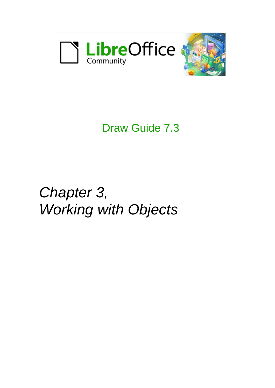

# Draw Guide 7.3

# *Chapter 3, Working with Objects*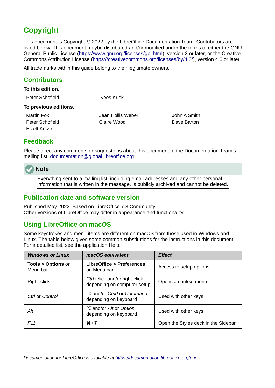# <span id="page-1-4"></span>**Copyright**

This document is Copyright © 2022 by the LibreOffice Documentation Team. Contributors are listed below. This document maybe distributed and/or modified under the terms of either the GNU General Public License (<https://www.gnu.org/licenses/gpl.html>), version 3 or later, or the Creative Commons Attribution License (<https://creativecommons.org/licenses/by/4.0/>), version 4.0 or later.

All trademarks within this guide belong to their legitimate owners.

### <span id="page-1-3"></span>**Contributors**

#### **To this edition.**

| Peter Schofield | Kees Kriek |
|-----------------|------------|
|                 |            |

#### **To previous editions.**

Elzett Kotze

Martin Fox Jean Hollis Weber John A Smith Peter Schofield Claire Wood Dave Barton

# <span id="page-1-2"></span>**Feedback**

Please direct any comments or suggestions about this document to the Documentation Team's mailing list: [documentation@global.libreoffice.org](mailto:documentation@global.libreoffice.org)

# **Note**

Everything sent to a mailing list, including email addresses and any other personal information that is written in the message, is publicly archived and cannot be deleted.

### <span id="page-1-1"></span>**Publication date and software version**

Published May 2022. Based on LibreOffice 7.3 Community. Other versions of LibreOffice may differ in appearance and functionality.

# <span id="page-1-0"></span>**Using LibreOffice on macOS**

Some keystrokes and menu items are different on macOS from those used in Windows and Linux. The table below gives some common substitutions for the instructions in this document. For a detailed list, see the application Help.

| <b>Windows or Linux</b>                  | macOS equivalent                                             | <b>Effect</b>                       |
|------------------------------------------|--------------------------------------------------------------|-------------------------------------|
| <b>Tools &gt; Options on</b><br>Menu bar | <b>LibreOffice &gt; Preferences</b><br>on Menu bar           | Access to setup options             |
| Right-click                              | Ctrl+click and/or right-click<br>depending on computer setup | Opens a context menu                |
| Ctrl or Control                          | <b>36 and/or Cmd or Command,</b><br>depending on keyboard    | Used with other keys                |
| Alt                                      | <b>∠</b> and/or Alt or Option<br>depending on keyboard       | Used with other keys                |
| F <sub>11</sub>                          | $\mathcal{H}+T$                                              | Open the Styles deck in the Sidebar |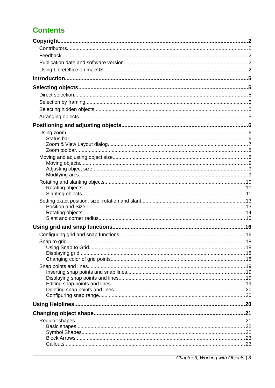# **Contents**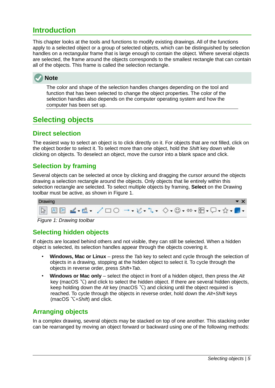# <span id="page-4-5"></span>**Introduction**

This chapter looks at the tools and functions to modify existing drawings. All of the functions apply to a selected object or a group of selected objects, which can be distinguished by selection handles on a rectangular frame that is large enough to contain the object. Where several objects are selected, the frame around the objects corresponds to the smallest rectangle that can contain all of the objects. This frame is called the selection rectangle.



The color and shape of the selection handles changes depending on the tool and function that has been selected to change the object properties. The color of the selection handles also depends on the computer operating system and how the computer has been set up.

# <span id="page-4-4"></span>**Selecting objects**

# <span id="page-4-3"></span>**Direct selection**

The easiest way to select an object is to click directly on it. For objects that are not filled, click on the object border to select it. To select more than one object, hold the *Shift* key down while clicking on objects. To deselect an object, move the cursor into a blank space and click.

# <span id="page-4-2"></span>**Selection by framing**

Several objects can be selected at once by clicking and dragging the cursor around the objects drawing a selection rectangle around the objects. Only objects that lie entirely within this selection rectangle are selected. To select multiple objects by framing, **Select** on the Drawing toolbar must be active, as shown in Figure [1](#page-4-6).



<span id="page-4-6"></span>*Figure 1: Drawing toolbar*

# <span id="page-4-1"></span>**Selecting hidden objects**

If objects are located behind others and not visible, they can still be selected. When a hidden object is selected, its selection handles appear through the objects covering it.

- **Windows, Mac or Linux** press the *Tab* key to select and cycle through the selection of objects in a drawing, stopping at the hidden object to select it. To cycle through the objects in reverse order, press *Shift+Tab*.
- **Windows or Mac only** select the object in front of a hidden object, then press the *Alt* key (macOS  $\Upsilon$ ) and click to select the hidden object. If there are several hidden objects, keep holding down the  $Alt$  key (macOS  $\bigtriangledown$ ) and clicking until the object required is reached. To cycle through the objects in reverse order, hold down the *Alt+Shift* keys (macOS ⌥*+Shift*) and click.

# <span id="page-4-0"></span>**Arranging objects**

In a complex drawing, several objects may be stacked on top of one another. This stacking order can be rearranged by moving an object forward or backward using one of the following methods: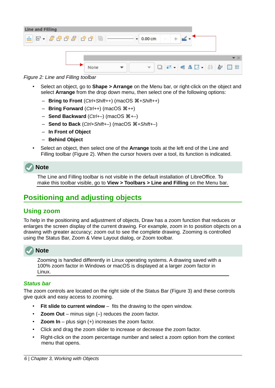

#### *Figure 2: Line and Filling toolbar*

- <span id="page-5-3"></span>• Select an object, go to **Shape > Arrange** on the Menu bar, or right-click on the object and select **Arrange** from the drop down menu, then select one of the following options:
	- **Bring to Front** (*Ctrl+Shift++*) (macOS ⌘*+Shift++*)
	- **Bring Forward** (*Ctrl++*) (macOS ⌘*++*)
	- **Send Backward** (*Ctrl+–*) (macOS ⌘*+–*)
	- **Send to Back** (*Ctrl+Shift+–*) (macOS ⌘*+Shift+–*)
	- **In Front of Object**
	- **Behind Object**
- Select an object, then select one of the **Arrange** tools at the left end of the Line and Filling toolbar (Figure [2](#page-5-3)). When the cursor hovers over a tool, its function is indicated.

# **Note**

The Line and Filling toolbar is not visible in the default installation of LibreOffice. To make this toolbar visible, go to **View > Toolbars > Line and Filling** on the Menu bar.

# <span id="page-5-2"></span>**Positioning and adjusting objects**

### <span id="page-5-1"></span>**Using zoom**

To help in the positioning and adjustment of objects, Draw has a zoom function that reduces or enlarges the screen display of the current drawing. For example, zoom in to position objects on a drawing with greater accuracy; zoom out to see the complete drawing. Zooming is controlled using the Status Bar, Zoom & View Layout dialog, or Zoom toolbar.



Zooming is handled differently in Linux operating systems. A drawing saved with a 100% zoom factor in Windows or macOS is displayed at a larger zoom factor in Linux.

#### <span id="page-5-0"></span>*Status bar*

The zoom controls are located on the right side of the Status Bar (Figure [3](#page-6-1)) and these controls give quick and easy access to zooming.

- **Fit slide to current window** fits the drawing to the open window.
- **Zoom Out** minus sign (–) reduces the zoom factor.
- **Zoom In** plus sign (+) increases the zoom factor.
- Click and drag the zoom slider to increase or decrease the zoom factor.
- Right-click on the zoom percentage number and select a zoom option from the context menu that opens.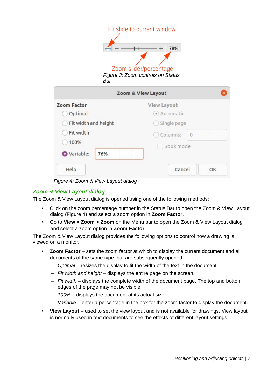<span id="page-6-1"></span>

|                      | Fit slide to current window                                        |
|----------------------|--------------------------------------------------------------------|
| Bar                  | 78%<br>Zoom slider/percentage<br>Figure 3: Zoom controls on Status |
|                      | Zoom & View Layout                                                 |
| <b>Zoom Factor</b>   | <b>View Layout</b>                                                 |
| Optimal              | Automatic                                                          |
| Fit width and height | Single page                                                        |
| Fit width            | Columns:<br>$\theta$                                               |
| 100%                 | Book mode                                                          |
| O Variable:<br>76%   | $^{+}$                                                             |
| Help                 | Cancel<br>OK                                                       |

<span id="page-6-2"></span>*Figure 4: Zoom & View Layout dialog*

### <span id="page-6-0"></span>*Zoom & View Layout dialog*

The Zoom & View Layout dialog is opened using one of the following methods:

- Click on the zoom percentage number in the Status Bar to open the Zoom & View Layout dialog (Figure [4\)](#page-6-2) and select a zoom option in **Zoom Factor**.
- Go to **View > Zoom > Zoom** on the Menu bar to open the Zoom & View Layout dialog and select a zoom option in **Zoom Factor**.

The Zoom & View Layout dialog provides the following options to control how a drawing is viewed on a monitor.

- **Zoom Factor** sets the zoom factor at which to display the current document and all documents of the same type that are subsequently opened.
	- *Optimal* resizes the display to fit the width of the text in the document.
	- *Fit width and height* displays the entire page on the screen.
	- *Fit width* displays the complete width of the document page. The top and bottom edges of the page may not be visible.
	- *100%* displays the document at its actual size.
	- *Variable* enter a percentage in the box for the zoom factor to display the document.
- **View Layout** used to set the view layout and is not available for drawings. View layout is normally used in text documents to see the effects of different layout settings.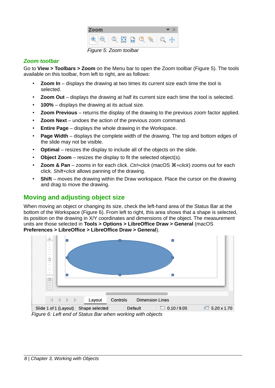<span id="page-7-3"></span>

|                        | $\mathbf{A}$<br>$\Omega$ |  |  |
|------------------------|--------------------------|--|--|
| Figure 5: Zoom toolbar |                          |  |  |

#### <span id="page-7-1"></span>*Zoom toolbar*

Go to **View > Toolbars > Zoom** on the Menu bar to open the Zoom toolbar (Figure [5\)](#page-7-3). The tools available on this toolbar, from left to right, are as follows:

- **Zoom In** displays the drawing at two times its current size each time the tool is selected.
- **Zoom Out** displays the drawing at half its current size each time the tool is selected.
- 100% displays the drawing at its actual size.
- **Zoom Previous** returns the display of the drawing to the previous zoom factor applied.
- **Zoom Next** undoes the action of the previous zoom command.
- **Entire Page** displays the whole drawing in the Workspace.
- **Page Width** displays the complete width of the drawing. The top and bottom edges of the slide may not be visible.
- **Optimal** resizes the display to include all of the objects on the slide.
- **Object Zoom** resizes the display to fit the selected object(s).
- **Zoom & Pan** zooms in for each click. *Ctrl+click* (macOS ⌘*+click*) zooms out for each click. *Shift+click* allows panning of the drawing.
- **Shift** moves the drawing within the Draw workspace. Place the cursor on the drawing and drag to move the drawing.

# <span id="page-7-0"></span>**Moving and adjusting object size**

When moving an object or changing its size, check the left-hand area of the Status Bar at the bottom of the Workspace (Figure [6](#page-7-2)). From left to right, this area shows that a shape is selected, its position on the drawing in X/Y coordinates and dimensions of the object. The measurement units are those selected in **Tools > Options > LibreOffice Draw > General** (macOS **Preferences > LibreOffice > LibreOffice Draw > General**).

<span id="page-7-2"></span>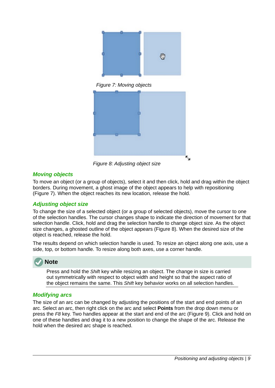

*Figure 7: Moving objects*

<span id="page-8-4"></span><span id="page-8-3"></span>

*Figure 8: Adjusting object size*

#### <span id="page-8-0"></span>*Moving objects*

To move an object (or a group of objects), select it and then click, hold and drag within the object borders. During movement, a ghost image of the object appears to help with repositioning (Figure [7](#page-8-4)). When the object reaches its new location, release the hold.

#### <span id="page-8-2"></span>*Adjusting object size*

To change the size of a selected object (or a group of selected objects), move the cursor to one of the selection handles. The cursor changes shape to indicate the direction of movement for that selection handle. Click, hold and drag the selection handle to change object size. As the object size changes, a ghosted outline of the object appears (Figure [8\)](#page-8-3). When the desired size of the object is reached, release the hold.

The results depend on which selection handle is used. To resize an object along one axis, use a side, top, or bottom handle. To resize along both axes, use a corner handle.

# **Note**

Press and hold the *Shift* key while resizing an object. The change in size is carried out symmetrically with respect to object width and height so that the aspect ratio of the object remains the same. This *Shift* key behavior works on all selection handles.

#### <span id="page-8-1"></span>*Modifying arcs*

The size of an arc can be changed by adjusting the positions of the start and end points of an arc. Select an arc, then right click on the arc and select **Points** from the drop down menu or press the *F8* key. Two handles appear at the start and end of the arc (Figure [9\)](#page-9-2). Click and hold on one of these handles and drag it to a new position to change the shape of the arc. Release the hold when the desired arc shape is reached.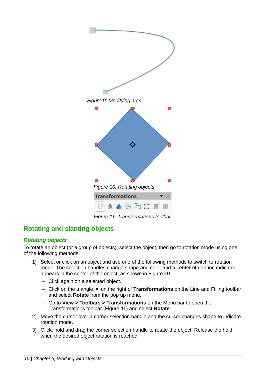<span id="page-9-2"></span>

<span id="page-9-4"></span><span id="page-9-3"></span>*Figure 11: Transformations toolbar*

# <span id="page-9-1"></span>**Rotating and slanting objects**

#### <span id="page-9-0"></span>*Rotating objects*

To rotate an object (or a group of objects), select the object, then go to rotation mode using one of the following methods.

- 1) Select or click on an object and use one of the following methods to switch to rotation mode. The selection handles change shape and color and a center of rotation indicator appears in the center of the object, as shown in Figure [10](#page-9-4).
	- Click again on a selected object.
	- Click on the triangle ▼ on the right of **Transformations** on the Line and Filling toolbar and select **Rotate** from the pop up menu.
	- Go to **View > Toolbars > Transformations** on the Menu bar to open the Transformations toolbar (Figure [11](#page-9-3)) and select **Rotate**.
- 2) Move the cursor over a corner selection handle and the cursor changes shape to indicate rotation mode.
- 3) Click, hold and drag the corner selection handle to rotate the object. Release the hold when the desired object rotation is reached.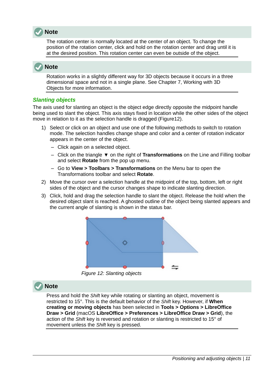

The rotation center is normally located at the center of an object. To change the position of the rotation center, click and hold on the rotation center and drag until it is at the desired position. This rotation center can even be outside of the object.

# **Note**

Rotation works in a slightly different way for 3D objects because it occurs in a three dimensional space and not in a single plane. See Chapter 7, Working with 3D Objects for more information.

#### <span id="page-10-0"></span>*Slanting objects*

The axis used for slanting an object is the object edge directly opposite the midpoint handle being used to slant the object. This axis stays fixed in location while the other sides of the object move in relation to it as the selection handle is dragged (Figur[e12\)](#page-10-1).

- 1) Select or click on an object and use one of the following methods to switch to rotation mode. The selection handles change shape and color and a center of rotation indicator appears in the center of the object.
	- Click again on a selected object.
	- Click on the triangle ▼ on the right of **Transformations** on the Line and Filling toolbar and select **Rotate** from the pop up menu.
	- Go to **View > Toolbars > Transformations** on the Menu bar to open the Transformations toolbar and select **Rotate**.
- 2) Move the cursor over a selection handle at the midpoint of the top, bottom, left or right sides of the object and the cursor changes shape to indicate slanting direction.
- 3) Click, hold and drag the selection handle to slant the object. Release the hold when the desired object slant is reached. A ghosted outline of the object being slanted appears and the current angle of slanting is shown in the status bar.



*Figure 12: Slanting objects*

# **Note**

<span id="page-10-1"></span>Press and hold the *Shift* key while rotating or slanting an object, movement is restricted to 15°. This is the default behavior of the *Shift* key. However, if **When creating or moving objects** has been selected in **Tools > Options > LibreOffice Draw > Grid** (macOS **LibreOffice > Preferences > LibreOffice Draw > Grid**), the action of the *Shift* key is reversed and rotation or slanting is restricted to 15° of movement unless the *Shift* key is pressed.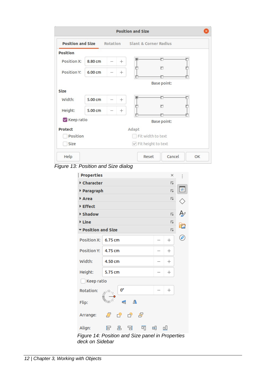|                 |         |                 | <b>Position and Size</b>                                |
|-----------------|---------|-----------------|---------------------------------------------------------|
|                 |         |                 | <b>Position and Size</b> Rotation Slant & Corner Radius |
| <b>Position</b> |         |                 |                                                         |
| Position X:     | 8.80 cm | $^{+}$          | G                                                       |
| Position Y:     | 6.00cm  | $^{+}$          | $\sigma$                                                |
|                 |         |                 | Base point:                                             |
| Size            |         |                 |                                                         |
| Width:          | 5.00 cm | $^{+}$          |                                                         |
| Height:         | 5.00 cm | $\! + \!\!\!\!$ | ö                                                       |
| Keep ratio      |         |                 | Base point:                                             |
| <b>Protect</b>  |         |                 | Adapt                                                   |
| Position        |         |                 | Fit width to text                                       |
| Size            |         |                 | √ Fit height to text                                    |
| Help            |         |                 | Cancel<br>Reset<br>OK                                   |

*Figure 13: Position and Size dialog*

<span id="page-11-1"></span>

| <b>Properties</b>                                |         |    |           |   |   | ×                       | I |
|--------------------------------------------------|---------|----|-----------|---|---|-------------------------|---|
| Character                                        |         |    |           |   |   | I                       |   |
| ▶ Paragraph                                      |         |    |           |   |   | 区                       | ≢ |
| Area                                             |         |    |           |   |   | Ŀ                       |   |
| Effect                                           |         |    |           |   |   |                         |   |
| ▶ Shadow                                         |         |    |           |   |   | $\overline{\mathbf{N}}$ | B |
| <b>▶ Line</b>                                    |         |    |           |   |   | м                       | Œ |
| ▼ Position and Size                              |         |    |           |   |   | м                       |   |
| <b>Position X:</b>                               | 6.75 cm |    |           |   |   | $^{+}$                  | C |
| <b>Position Y:</b>                               | 4.75 cm |    |           |   |   | $^{+}$                  |   |
| Width:                                           | 4.50 cm |    |           |   |   | $\hspace{.01in} +$      |   |
| Height:                                          | 5.75 cm |    |           |   |   | $^+$                    |   |
| Keep ratio                                       |         |    |           |   |   |                         |   |
| Rotation:                                        | رتانی   | 0° |           |   |   | $^{+}$                  |   |
| Flip:                                            |         | €  | Δ         |   |   |                         |   |
| Arrange:                                         | ð       | c٥ | $\bigcap$ | 占 |   |                         |   |
| Align:                                           | F       | 串  | 日         | 呵 | ⊞ | 吅                       |   |
| Figure 14: Position and Size panel in Properties |         |    |           |   |   |                         |   |

<span id="page-11-0"></span>*deck on Sidebar*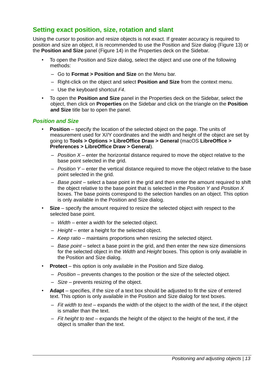# <span id="page-12-1"></span>**Setting exact position, size, rotation and slant**

Using the cursor to position and resize objects is not exact. If greater accuracy is required to position and size an object, it is recommended to use the Position and Size dialog (Figure [13\)](#page-11-1) or the **Position and Size** panel (Figure [14](#page-11-0)) in the Properties deck on the Sidebar.

- To open the Position and Size dialog, select the object and use one of the following methods:
	- Go to **Format > Position and Size** on the Menu bar.
	- Right-click on the object and select **Position and Size** from the context menu.
	- Use the keyboard shortcut *F4*.
- To open the **Position and Size** panel in the Properties deck on the Sidebar, select the object, then click on **Properties** on the Sidebar and click on the triangle on the **Position and Size** title bar to open the panel.

#### <span id="page-12-0"></span>*Position and Size*

- **Position** specify the location of the selected object on the page. The units of measurement used for X//Y coordinates and the width and height of the object are set by going to **Tools > Options > LibreOffice Draw > General** (macOS **LibreOffice > Preferences > LibreOffice Draw > General**).
	- *Position X* enter the horizontal distance required to move the object relative to the base point selected in the grid.
	- *Position Y* enter the vertical distance required to move the object relative to the base point selected in the grid.
	- *Base point* select a base point in the grid and then enter the amount required to shift the object relative to the base point that is selected in the *Position Y* and *Position X* boxes. The base points correspond to the selection handles on an object. This option is only available in the Position and Size dialog.
- **Size** specify the amount required to resize the selected object with respect to the selected base point.
	- *Width* enter a width for the selected object.
	- *Height* enter a height for the selected object.
	- *Keep ratio* maintains proportions when resizing the selected object.
	- *Base point* select a base point in the grid, and then enter the new size dimensions for the selected object in the *Width* and *Height* boxes. This option is only available in the Position and Size dialog.
- **Protect** this option is only available in the Position and Size dialog.
	- *Position* prevents changes to the position or the size of the selected object.
	- *Size* prevents resizing of the object.
- **Adapt** specifies, if the size of a text box should be adjusted to fit the size of entered text. This option is only available in the Position and Size dialog for text boxes.
	- *Fit width to text* expands the width of the object to the width of the text, if the object is smaller than the text.
	- *Fit height to text* expands the height of the object to the height of the text, if the object is smaller than the text.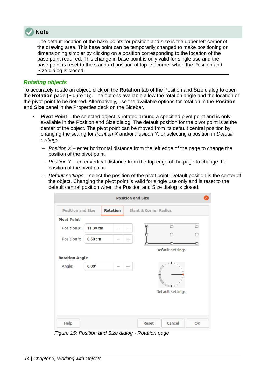

The default location of the base points for position and size is the upper left corner of the drawing area. This base point can be temporarily changed to make positioning or dimensioning simpler by clicking on a position corresponding to the location of the base point required. This change in base point is only valid for single use and the base point is reset to the standard position of top left corner when the Position and Size dialog is closed.

#### <span id="page-13-0"></span>*Rotating objects*

To accurately rotate an object, click on the **Rotation** tab of the Position and Size dialog to open the **Rotation** page (Figure [15\)](#page-13-1). The options available allow the rotation angle and the location of the pivot point to be defined. Alternatively, use the available options for rotation in the **Position and Size** panel in the Properties deck on the Sidebar.

- **Pivot Point** the selected object is rotated around a specified pivot point and is only available in the Position and Size dialog. The default position for the pivot point is at the center of the object. The pivot point can be moved from its default central position by changing the setting for *Position X* and/or *Position Y*, or selecting a position in *Default settings*.
	- *Position X* enter horizontal distance from the left edge of the page to change the position of the pivot point.
	- *Position Y* enter vertical distance from the top edge of the page to change the position of the pivot point.
	- *Default settings* select the position of the pivot point. Default position is the center of the object. Changing the pivot point is valid for single use only and is reset to the default central position when the Position and Size dialog is closed.

|                          | <b>Position and Size</b> |                 |        |                                  |  |  |  |
|--------------------------|--------------------------|-----------------|--------|----------------------------------|--|--|--|
| <b>Position and Size</b> |                          | <b>Rotation</b> |        | <b>Slant &amp; Corner Radius</b> |  |  |  |
| <b>Pivot Point</b>       |                          |                 |        |                                  |  |  |  |
| Position X:              | 11.30 cm                 |                 | $^{+}$ | G                                |  |  |  |
| <b>Position Y:</b>       | 8.50 cm                  |                 | $^{+}$ | Ö                                |  |  |  |
|                          |                          |                 |        | Default settings:                |  |  |  |
| <b>Rotation Angle</b>    |                          |                 |        |                                  |  |  |  |
| Angle:                   | $0.00^\circ$             |                 | $^{+}$ | Default settings:                |  |  |  |
| Help                     |                          |                 |        | Cancel<br>Reset<br>OK            |  |  |  |

<span id="page-13-1"></span>*Figure 15: Position and Size dialog - Rotation page*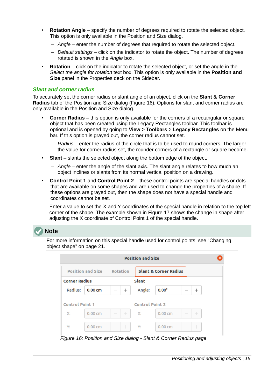- **Rotation Angle** specify the number of degrees required to rotate the selected object. This option is only available in the Position and Size dialog.
	- *Angle* enter the number of degrees that required to rotate the selected object.
	- *Default settings* click on the indicator to rotate the object. The number of degrees rotated is shown in the *Angle* box.
- **Rotation** click on the indicator to rotate the selected object, or set the angle in the *Select the angle for rotation* text box. This option is only available in the **Position and Size** panel in the Properties deck on the Sidebar.

#### <span id="page-14-0"></span>*Slant and corner radius*

To accurately set the corner radius or slant angle of an object, click on the **Slant & Corner Radius** tab of the Position and Size dialog (Figure [16](#page-14-1)). Options for slant and corner radius are only available in the Position and Size dialog.

- **Corner Radius** this option is only available for the corners of a rectangular or square object that has been created using the Legacy Rectangles toolbar. This toolbar is optional and is opened by going to **View > Toolbars > Legacy Rectangles** on the Menu bar. If this option is grayed out, the corner radius cannot set.
	- *Radius* enter the radius of the circle that is to be used to round corners. The larger the value for corner radius set, the rounder corners of a rectangle or square become.
- **Slant** slants the selected object along the bottom edge of the object.
	- *Angle* enter the angle of the slant axis. The slant angle relates to how much an object inclines or slants from its normal vertical position on a drawing.
- **Control Point 1** and **Control Point 2** these control points are special handles or dots that are available on some shapes and are used to change the properties of a shape. If these options are grayed out, then the shape does not have a special handle and coordinates cannot be set.

Enter a value to set the X and Y coordinates of the special handle in relation to the top left corner of the shape. The example shown in Figure [17](#page-15-2) shows the change in shape after adjusting the X coordinate of Control Point 1 of the special handle.

# **Note**

For more information on this special handle used for control points, see ["Changing](#page-20-1)  [object shape](#page-20-1)" on page [21](#page-20-1).

| <b>Position and Size</b> |          |                        |                                  |       |  |  |  |  |  |  |
|--------------------------|----------|------------------------|----------------------------------|-------|--|--|--|--|--|--|
| <b>Position and Size</b> | Rotation |                        | <b>Slant &amp; Corner Radius</b> |       |  |  |  |  |  |  |
| <b>Corner Radius</b>     |          | Slant                  |                                  |       |  |  |  |  |  |  |
| Radius:<br>0.00cm        | $^{+}$   | Angle:                 | $0.00^\circ$                     | $^+$  |  |  |  |  |  |  |
| <b>Control Point 1</b>   |          | <b>Control Point 2</b> |                                  |       |  |  |  |  |  |  |
| 0.00cm<br>Х:             | $+$      | $\times$               | 0.00cm                           | $\pm$ |  |  |  |  |  |  |
| Y:<br>0.00cm             | $+$      | Y:                     | 0.00cm                           | $\pm$ |  |  |  |  |  |  |

<span id="page-14-1"></span>*Figure 16: Position and Size dialog - Slant & Corner Radius page*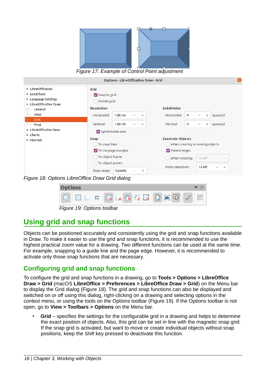<span id="page-15-2"></span>

Options - LibreOfficeDev Draw - Grid ▶ LibreOfficeDev Grid ▶ Load/Save Snap to grid ▶ Language Settings  $\Box$  Visible grid • LibreOfficeDev Draw Resolution Subdivision General View Horizontal:  $1.00 \text{ cm}$  $\overline{+}$ Horizontal:  $^{+}$ space(s) Grid Vertical:  $1.00 \text{ cm}$  $^{+}$ Vertical:  $\overline{4}$  $+$  $space(s)$ Print LibreOfficeDev Base Synchronize axes Charts Snap **Constrain Objects** Internet To snap lines When creating or moving objects  $\triangledown$  To the page margins  $\triangledown$  Extend edges □ To object frame When rotating:  $15.00^{\circ}$ □ To object points Point reduction: 15.00°  $\ddot{+}$ Snap range: 5 pixels  $+$ *Figure 18: Options LibreOffice Draw Grid dialog*

<span id="page-15-4"></span><span id="page-15-3"></span>

| <b>Options</b>             |  |                            |  |  |  |  |  |
|----------------------------|--|----------------------------|--|--|--|--|--|
| m                          |  | <b>HELA A A ER D ab ER</b> |  |  |  |  |  |
| Figure 19: Options toolbar |  |                            |  |  |  |  |  |

# <span id="page-15-1"></span>**Using grid and snap functions**

Objects can be positioned accurately and consistently using the grid and snap functions available in Draw. To make it easier to use the grid and snap functions, it is recommended to use the highest practical zoom value for a drawing. Two different functions can be used at the same time. For example, snapping to a guide line and the page edge. However, it is recommended to activate only those snap functions that are necessary.

# <span id="page-15-0"></span>**Configuring grid and snap functions**

To configure the grid and snap functions in a drawing, go to **Tools > Options > LibreOffice Draw > Grid** (macOS **LibreOffice > Preferences > LibreOffice Draw > Grid**) on the Menu bar to display the Grid dialog (Figure [18](#page-15-4)). The grid and snap functions can also be displayed and switched on or off using this dialog, right-clicking on a drawing and selecting options in the context menu, or using the tools on the Options toolbar (Figure [19\)](#page-15-3). If the Options toolbar is not open, go to **View > Toolbars > Options** on the Menu bar.

• **Grid** – specifies the settings for the configurable grid in a drawing and helps to determine the exact position of objects. Also, this grid can be set in line with the magnetic snap grid. If the snap grid is activated, but want to move or create individual objects without snap positions, keep the *Shift* key pressed to deactivate this function.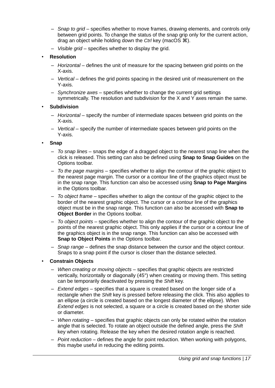- *Snap to grid* specifies whether to move frames, drawing elements, and controls only between grid points. To change the status of the snap grip only for the current action, drag an object while holding down the *Ctrl* key (macOS  $\mathcal{H}$ ).
- *Visible grid* specifies whether to display the grid.
- **Resolution**
	- *Horizontal* defines the unit of measure for the spacing between grid points on the X-axis.
	- *Vertical* defines the grid points spacing in the desired unit of measurement on the Y-axis.
	- *Synchronize axes* specifies whether to change the current grid settings symmetrically. The resolution and subdivision for the X and Y axes remain the same.
- **Subdivision**
	- *Horizontal* specify the number of intermediate spaces between grid points on the X-axis.
	- *Vertical* specify the number of intermediate spaces between grid points on the Y-axis.
- **Snap**
	- *To snap lines* snaps the edge of a dragged object to the nearest snap line when the click is released. This setting can also be defined using **Snap to Snap Guides** on the Options toolbar.
	- *To the page margins* specifies whether to align the contour of the graphic object to the nearest page margin. The cursor or a contour line of the graphics object must be in the snap range. This function can also be accessed using **Snap to Page Margins** in the Options toolbar.
	- *To object frame* specifies whether to align the contour of the graphic object to the border of the nearest graphic object. The cursor or a contour line of the graphics object must be in the snap range. This function can also be accessed with **Snap to Object Border** in the Options toolbar.
	- *To object points* specifies whether to align the contour of the graphic object to the points of the nearest graphic object. This only applies if the cursor or a contour line of the graphics object is in the snap range. This function can also be accessed with **Snap to Object Points** in the Options toolbar.
	- *Snap range* defines the snap distance between the cursor and the object contour. Snaps to a snap point if the cursor is closer than the distance selected.
- **Constrain Objects**
	- *When creating or moving objects* specifies that graphic objects are restricted vertically, horizontally or diagonally (45°) when creating or moving them. This setting can be temporarily deactivated by pressing the *Shift* key.
	- *Extend edges* specifies that a square is created based on the longer side of a rectangle when the *Shift* key is pressed before releasing the click. This also applies to an ellipse (a circle is created based on the longest diameter of the ellipse). When *Extend edges* is not selected, a square or a circle is created based on the shorter side or diameter.
	- *When rotating* specifies that graphic objects can only be rotated within the rotation angle that is selected. To rotate an object outside the defined angle, press the *Shift* key when rotating. Release the key when the desired rotation angle is reached.
	- *Point reduction* defines the angle for point reduction. When working with polygons, this maybe useful in reducing the editing points.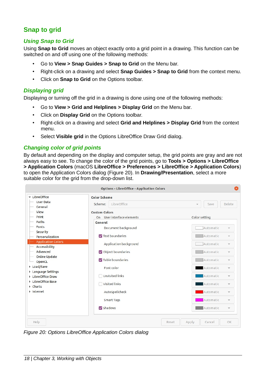# <span id="page-17-3"></span>**Snap to grid**

#### <span id="page-17-2"></span>*Using Snap to Grid*

Using **Snap to Grid** moves an object exactly onto a grid point in a drawing. This function can be switched on and off using one of the following methods:

- Go to **View > Snap Guides > Snap to Grid** on the Menu bar.
- Right-click on a drawing and select **Snap Guides > Snap to Grid** from the context menu.
- Click on **Snap to Grid** on the Options toolbar.

#### <span id="page-17-1"></span>*Displaying grid*

Displaying or turning off the grid in a drawing is done using one of the following methods:

- Go to **View > Grid and Helplines > Display Grid** on the Menu bar.
- Click on **Display Grid** on the Options toolbar.
- Right-click on a drawing and select **Grid and Helplines > Display Grid** from the context menu.
- Select **Visible grid** in the Options LibreOffice Draw Grid dialog.

#### <span id="page-17-0"></span>*Changing color of grid points*

By default and depending on the display and computer setup, the grid points are gray and are not always easy to see. To change the color of the grid points, go to **Tools > Options > LibreOffice > Application Colors** (macOS **LibreOffice > Preferences > LibreOffice > Application Colors**) to open the Application Colors dialog (Figure [20\)](#page-17-4). In **Drawing/Presentation**, select a more suitable color for the grid from the drop-down list.

| • LibreOffice                              | <b>Color Scheme</b>        |                |                                       |
|--------------------------------------------|----------------------------|----------------|---------------------------------------|
| <b>User Data</b><br>General                | LibreOffice<br>Scheme:     |                | Delete<br>Save<br>$\mathcal{P}$       |
| View                                       | <b>Custom Colors</b>       |                |                                       |
| Print                                      | On User interface elements |                | Color setting                         |
| Paths                                      | General                    |                |                                       |
| Fonts                                      | Document background        |                | Automatic<br>$\overline{\nabla}$      |
| Security                                   |                            |                |                                       |
| Personalization                            | Text boundaries            |                | Automatic<br>$\overline{\mathbf{v}}$  |
| <b>Application Colors</b><br>Accessibility | Application background     |                | Automatic<br>$\mathbf{v}$             |
| Advanced                                   | Object boundaries          |                | Automatic<br>$\mathbf{v}$             |
| Online Update<br>OpenCL                    | Table boundaries           |                | Automatic<br>$\mathbf{v}$             |
| ▶ Load/Save                                | Font color                 |                | Automatic<br>$\overline{\phantom{a}}$ |
| ▶ Language Settings<br>LibreOffice Draw    | Unvisited links            |                | Automatic<br>$\overline{\phantom{a}}$ |
| LibreOffice Base<br>Charts                 | Visited links              |                | Automatic<br>$\overline{\mathbf{v}}$  |
| Internet                                   | AutoSpellcheck             |                | Automatic<br>$\overline{\mathbf{v}}$  |
|                                            | <b>Smart Tags</b>          |                | Automatic<br>$\overline{\mathbf{v}}$  |
|                                            | Shadows                    |                | Automatic<br>$\mathbf{v}$             |
| Help                                       |                            | Apply<br>Reset | Cancel<br>OK                          |

<span id="page-17-4"></span>*Figure 20: Options LibreOffice Application Colors dialog*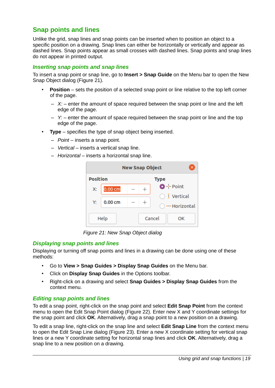# <span id="page-18-2"></span>**Snap points and lines**

Unlike the grid, snap lines and snap points can be inserted when to position an object to a specific position on a drawing. Snap lines can either be horizontally or vertically and appear as dashed lines. Snap points appear as small crosses with dashed lines. Snap points and snap lines do not appear in printed output.

#### <span id="page-18-1"></span>*Inserting snap points and snap lines*

To insert a snap point or snap line, go to **Insert > Snap Guide** on the Menu bar to open the New Snap Object dialog (Figure [21](#page-18-4)).

- **Position** sets the position of a selected snap point or line relative to the top left corner of the page.
	- $\overline{X}$ : enter the amount of space required between the snap point or line and the left edge of the page.
	- *Y:* enter the amount of space required between the snap point or line and the top edge of the page.
- **Type** specifies the type of snap object being inserted.
	- *Point* inserts a snap point.
	- *Vertical* inserts a vertical snap line.
	- *Horizontal* inserts a horizontal snap line.



*Figure 21: New Snap Object dialog*

#### <span id="page-18-0"></span>*Displaying snap points and lines*

Displaying or turning off snap points and lines in a drawing can be done using one of these methods:

- <span id="page-18-4"></span>• Go to **View > Snap Guides > Display Snap Guides** on the Menu bar.
- Click on **Display Snap Guides** in the Options toolbar.
- Right-click on a drawing and select **Snap Guides > Display Snap Guides** from the context menu.

#### <span id="page-18-3"></span>*Editing snap points and lines*

To edit a snap point, right-click on the snap point and select **Edit Snap Point** from the context menu to open the Edit Snap Point dialog (Figure [22](#page-19-4)). Enter new X and Y coordinate settings for the snap point and click **OK**. Alternatively, drag a snap point to a new position on a drawing.

To edit a snap line, right-click on the snap line and select **Edit Snap Line** from the context menu to open the Edit Snap Line dialog (Figure [23](#page-19-3)). Enter a new X coordinate setting for vertical snap lines or a new Y coordinate setting for horizontal snap lines and click **OK**. Alternatively, drag a snap line to a new position on a drawing.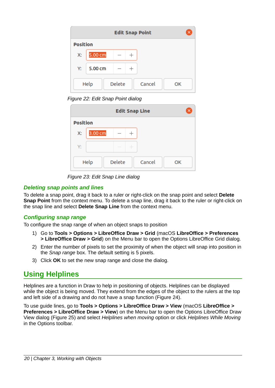| <b>Edit Snap Point</b><br>×           |                   |  |  |  |  |  |  |
|---------------------------------------|-------------------|--|--|--|--|--|--|
| <b>Position</b>                       |                   |  |  |  |  |  |  |
| Х:                                    | $5.00 \text{ cm}$ |  |  |  |  |  |  |
| Υ:                                    | 5.00 cm           |  |  |  |  |  |  |
| <b>Delete</b><br>Help<br>Cancel<br>OK |                   |  |  |  |  |  |  |

<span id="page-19-4"></span>*Figure 22: Edit Snap Point dialog*

| <b>Edit Snap Line</b>          |         |               |                                  |  |  |  |  |
|--------------------------------|---------|---------------|----------------------------------|--|--|--|--|
| <b>Position</b>                |         |               |                                  |  |  |  |  |
| X:                             | 3.00 cm |               | $\hspace{0.1mm} +\hspace{0.1mm}$ |  |  |  |  |
| Y:                             |         | $\frac{1}{2}$ |                                  |  |  |  |  |
| Delete<br>Help<br>Cancel<br>OK |         |               |                                  |  |  |  |  |

<span id="page-19-3"></span>*Figure 23: Edit Snap Line dialog*

#### <span id="page-19-2"></span>*Deleting snap points and lines*

To delete a snap point, drag it back to a ruler or right-click on the snap point and select **Delete Snap Point** from the context menu. To delete a snap line, drag it back to the ruler or right-click on the snap line and select **Delete Snap Line** from the context menu.

### <span id="page-19-1"></span>*Configuring snap range*

To configure the snap range of when an object snaps to position

- 1) Go to **Tools > Options > LibreOffice Draw > Grid** (macOS **LibreOffice > Preferences > LibreOffice Draw > Grid**) on the Menu bar to open the Options LibreOffice Grid dialog.
- 2) Enter the number of pixels to set the proximity of when the object will snap into position in the *Snap range* box. The default setting is 5 pixels.
- 3) Click **OK** to set the new snap range and close the dialog.

# <span id="page-19-0"></span>**Using Helplines**

Helplines are a function in Draw to help in positioning of objects. Helplines can be displayed while the object is being moved. They extend from the edges of the object to the rulers at the top and left side of a drawing and do not have a snap function (Figure [24](#page-20-3)).

To use guide lines, go to **Tools > Options > LibreOffice Draw > View** (macOS **LibreOffice > Preferences > LibreOffice Draw > View**) on the Menu bar to open the Options LibreOffice Draw View dialog (Figure [25](#page-20-2)) and select *Helplines when moving* option or click *Helplines While Moving* in the Options toolbar.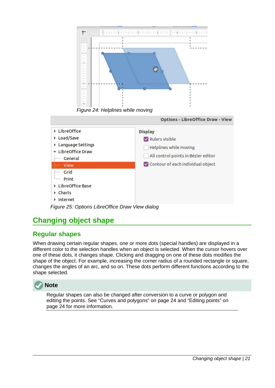

<span id="page-20-3"></span>*Figure 24: Helplines while moving*



# <span id="page-20-2"></span><span id="page-20-1"></span>**Changing object shape**

# <span id="page-20-0"></span>**Regular shapes**

When drawing certain regular shapes, one or more dots (special handles) are displayed in a different color to the selection handles when an object is selected. When the cursor hovers over one of these dots, it changes shape. Clicking and dragging on one of these dots modifies the shape of the object. For example, increasing the corner radius of a rounded rectangle or square, changes the angles of an arc, and so on. These dots perform different functions according to the shape selected.



Regular shapes can also be changed after conversion to a curve or polygon and editing the points. See ["Curves and polygons"](#page-23-3) on page [24](#page-23-3) and "[Editing points"](#page-23-0) on page [24](#page-23-0) for more information.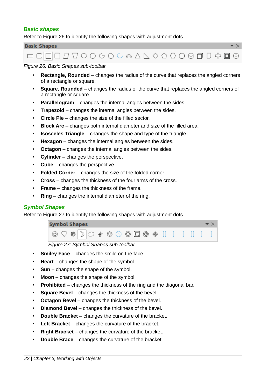#### <span id="page-21-1"></span>*Basic shapes*

Refer to Figure [26](#page-21-3) to identify the following shapes with adjustment dots.

| <b>Basic Shapes</b>             |  |
|---------------------------------|--|
| <b>□□□□□▽▽○◇○○△△△◇○○○□□</b> ☆□◎ |  |

#### *Figure 26: Basic Shapes sub-toolbar*

- <span id="page-21-3"></span>• **Rectangle, Rounded** – changes the radius of the curve that replaces the angled corners of a rectangle or square.
- **Square, Rounded** changes the radius of the curve that replaces the angled corners of a rectangle or square.
- **Parallelogram** changes the internal angles between the sides.
- **Trapezoid** changes the internal angles between the sides.
- **Circle Pie** changes the size of the filled sector.
- **Block Arc** changes both internal diameter and size of the filled area.
- **Isosceles Triangle** changes the shape and type of the triangle.
- **Hexagon** changes the internal angles between the sides.
- **Octagon** changes the internal angles between the sides.
- **Cylinder** changes the perspective.
- **Cube** changes the perspective.
- **Folded Corner** changes the size of the folded corner.
- **Cross** changes the thickness of the four arms of the cross.
- **Frame** changes the thickness of the frame.
- **Ring** changes the internal diameter of the ring.

#### <span id="page-21-0"></span>*Symbol Shapes*

Refer to Figure [27](#page-21-2) to identify the following shapes with adjustment dots.

#### **Symbol Shapes**



#### <span id="page-21-2"></span>*Figure 27: Symbol Shapes sub-toolbar*

- **Smiley Face** changes the smile on the face.
- **Heart** changes the shape of the symbol.
- **Sun** changes the shape of the symbol.
- **Moon** changes the shape of the symbol.
- **Prohibited** changes the thickness of the ring and the diagonal bar.
- **Square Bevel** changes the thickness of the bevel.
- **Octagon Bevel** changes the thickness of the bevel.
- **Diamond Bevel** changes the thickness of the bevel.
- **Double Bracket** changes the curvature of the bracket.
- **Left Bracket** changes the curvature of the bracket.
- **Right Bracket** changes the curvature of the bracket.
- **Double Brace** changes the curvature of the bracket.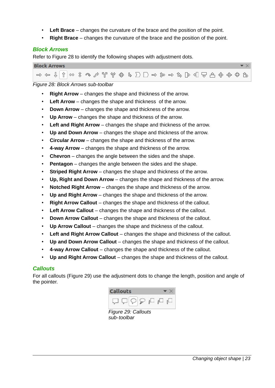- **Left Brace** changes the curvature of the brace and the position of the point.
- **Right Brace** changes the curvature of the brace and the position of the point.

#### <span id="page-22-1"></span>*Block Arrows*

Refer to Figure [28](#page-22-3) to identify the following shapes with adjustment dots.



#### *Figure 28: Block Arrows sub-toolbar*

- <span id="page-22-3"></span>• **Right Arrow** – changes the shape and thickness of the arrow.
- **Left Arrow** changes the shape and thickness of the arrow.
- **Down Arrow** changes the shape and thickness of the arrow.
- **Up Arrow** changes the shape and thickness of the arrow.
- **Left and Right Arrow** changes the shape and thickness of the arrow.
- **Up and Down Arrow** changes the shape and thickness of the arrow.
- **Circular Arrow** changes the shape and thickness of the arrow.
- **4-way Arrow** changes the shape and thickness of the arrow.
- **Chevron** changes the angle between the sides and the shape.
- **Pentagon** changes the angle between the sides and the shape.
- **Striped Right Arrow** changes the shape and thickness of the arrow.
- **Up, Right and Down Arrow** changes the shape and thickness of the arrow.
- **Notched Right Arrow** changes the shape and thickness of the arrow.
- **Up and Right Arrow** changes the shape and thickness of the arrow.
- **Right Arrow Callout** changes the shape and thickness of the callout.
- **Left Arrow Callout** changes the shape and thickness of the callout.
- **Down Arrow Callout** changes the shape and thickness of the callout.
- **Up Arrow Callout** changes the shape and thickness of the callout.
- **Left and Right Arrow Callout** changes the shape and thickness of the callout.
- **Up and Down Arrow Callout** changes the shape and thickness of the callout.
- **4-way Arrow Callout** changes the shape and thickness of the callout.
- **Up and Right Arrow Callout** changes the shape and thickness of the callout.

#### <span id="page-22-0"></span>*Callouts*

For all callouts (Figure [29](#page-22-2)) use the adjustment dots to change the length, position and angle of the pointer.



<span id="page-22-2"></span>*Figure 29: Callouts sub-toolbar*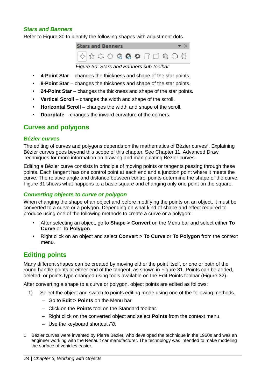#### <span id="page-23-4"></span>*Stars and Banners*

Refer to Figure [30](#page-23-5) to identify the following shapes with adjustment dots.



### <span id="page-23-6"></span><span id="page-23-5"></span>*Figure 30: Stars and Banners sub-toolbar*

- **4-Point Star** changes the thickness and shape of the star points.
- **8-Point Star** changes the thickness and shape of the star points.
- **24-Point Star** changes the thickness and shape of the star points.
- **Vertical Scroll** changes the width and shape of the scroll.
- **Horizontal Scroll** changes the width and shape of the scroll.
- **Doorplate** changes the inward curvature of the corners.

### <span id="page-23-3"></span>**Curves and polygons**

#### <span id="page-23-2"></span>*Bézier curves*

The editing of curves and polygons depends on the mathematics of Bézier curves $<sup>1</sup>$  $<sup>1</sup>$  $<sup>1</sup>$ . Explaining</sup> Bézier curves goes beyond this scope of this chapter. See Chapter 11, Advanced Draw Techniques for more information on drawing and manipulating Bézier curves.

Editing a Bézier curve consists in principle of moving points or tangents passing through these points. Each tangent has one control point at each end and a junction point where it meets the curve. The relative angle and distance between control points determine the shape of the curve. Figure [31](#page-24-2) shows what happens to a basic square and changing only one point on the square.

#### <span id="page-23-1"></span>*Converting objects to curve or polygon*

When changing the shape of an object and before modifying the points on an object, it must be converted to a curve or a polygon. Depending on what kind of shape and effect required to produce using one of the following methods to create a curve or a polygon:

- After selecting an object, go to **Shape > Convert** on the Menu bar and select either **To Curve** or **To Polygon**.
- Right click on an object and select **Convert > To Curve** or **To Polygon** from the context menu.

# <span id="page-23-0"></span>**Editing points**

Many different shapes can be created by moving either the point itself, or one or both of the round handle points at either end of the tangent, as shown in Figure [31](#page-24-2). Points can be added, deleted, or points type changed using tools available on the Edit Points toolbar (Figure [32\)](#page-24-1).

After converting a shape to a curve or polygon, object points are edited as follows:

- 1) Select the object and switch to points editing mode using one of the following methods.
	- Go to **Edit > Points** on the Menu bar.
	- Click on the **Points** tool on the Standard toolbar.
	- Right click on the converted object and select **Points** from the context menu.
	- Use the keyboard shortcut *F8*.
- <span id="page-23-7"></span>[1](#page-23-6) Bézier curves were invented by Pierre Bézier, who developed the technique in the 1960s and was an engineer working with the Renault car manufacturer. The technology was intended to make modeling the surface of vehicles easier.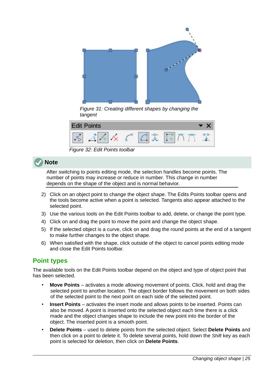

*Figure 31: Creating different shapes by changing the tangent*

<span id="page-24-2"></span>

<span id="page-24-1"></span>*Figure 32: Edit Points toolbar*

# **Note**

After switching to points editing mode, the selection handles become points. The number of points may increase or reduce in number. This change in number depends on the shape of the object and is normal behavior.

- 2) Click on an object point to change the object shape. The Edits Points toolbar opens and the tools become active when a point is selected. Tangents also appear attached to the selected point.
- 3) Use the various tools on the Edit Points toolbar to add, delete, or change the point type.
- 4) Click on and drag the point to move the point and change the object shape.
- 5) If the selected object is a curve, click on and drag the round points at the end of a tangent to make further changes to the object shape.
- 6) When satisfied with the shape, click outside of the object to cancel points editing mode and close the Edit Points toolbar.

# <span id="page-24-0"></span>**Point types**

The available tools on the Edit Points toolbar depend on the object and type of object point that has been selected.

- **Move Points** activates a mode allowing movement of points. Click, hold and drag the selected point to another location. The object border follows the movement on both sides of the selected point to the next point on each side of the selected point.
- **Insert Points** activates the insert mode and allows points to be inserted. Points can also be moved. A point is inserted onto the selected object each time there is a click made and the object changes shape to include the new point into the border of the object. The inserted point is a smooth point.
- **Delete Points** used to delete points from the selected object. Select **Delete Points** and then click on a point to delete it. To delete several points, hold down the *Shift* key as each point is selected for deletion, then click on **Delete Points**.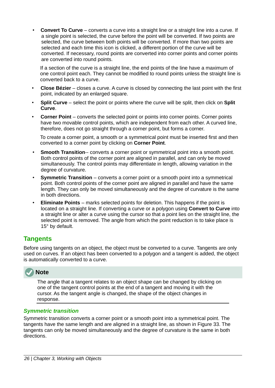• **Convert To Curve** – converts a curve into a straight line or a straight line into a curve. If a single point is selected, the curve before the point will be converted. If two points are selected, the curve between both points will be converted. If more than two points are selected and each time this icon is clicked, a different portion of the curve will be converted. If necessary, round points are converted into corner points and corner points are converted into round points.

If a section of the curve is a straight line, the end points of the line have a maximum of one control point each. They cannot be modified to round points unless the straight line is converted back to a curve.

- **Close Bézier** closes a curve. A curve is closed by connecting the last point with the first point, indicated by an enlarged square.
- **Split Curve** select the point or points where the curve will be split, then click on **Split Curve**.
- **Corner Point** converts the selected point or points into corner points. Corner points have two movable control points, which are independent from each other. A curved line, therefore, does not go straight through a corner point, but forms a corner.

To create a corner point, a smooth or a symmetrical point must be inserted first and then converted to a corner point by clicking on **Corner Point**.

- **Smooth Transition--** converts a corner point or symmetrical point into a smooth point. Both control points of the corner point are aligned in parallel, and can only be moved simultaneously. The control points may differentiate in length, allowing variation in the degree of curvature.
- **Symmetric Transition** converts a corner point or a smooth point into a symmetrical point. Both control points of the corner point are aligned in parallel and have the same length. They can only be moved simultaneously and the degree of curvature is the same in both directions.
- **Eliminate Points** marks selected points for deletion. This happens if the point is located on a straight line. If converting a curve or a polygon using **Convert to Curve** into a straight line or alter a curve using the cursor so that a point lies on the straight line, the selected point is removed. The angle from which the point reduction is to take place is 15° by default.

# <span id="page-25-1"></span>**Tangents**

Before using tangents on an object, the object must be converted to a curve. Tangents are only used on curves. If an object has been converted to a polygon and a tangent is added, the object is automatically converted to a curve.



The angle that a tangent relates to an object shape can be changed by clicking on one of the tangent control points at the end of a tangent and moving it with the cursor. As the tangent angle is changed, the shape of the object changes in response.

#### <span id="page-25-0"></span>*Symmetric transition*

Symmetric transition converts a corner point or a smooth point into a symmetrical point. The tangents have the same length and are aligned in a straight line, as shown in Figure [33](#page-26-2). The tangents can only be moved simultaneously and the degree of curvature is the same in both directions.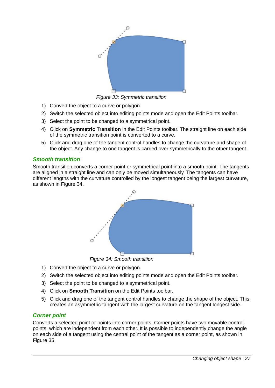

*Figure 33: Symmetric transition*

- <span id="page-26-2"></span>1) Convert the object to a curve or polygon.
- 2) Switch the selected object into editing points mode and open the Edit Points toolbar.
- 3) Select the point to be changed to a symmetrical point.
- 4) Click on **Symmetric Transition** in the Edit Points toolbar. The straight line on each side of the symmetric transition point is converted to a curve.
- 5) Click and drag one of the tangent control handles to change the curvature and shape of the object. Any change to one tangent is carried over symmetrically to the other tangent.

#### <span id="page-26-0"></span>*Smooth transition*

Smooth transition converts a corner point or symmetrical point into a smooth point. The tangents are aligned in a straight line and can only be moved simultaneously. The tangents can have different lengths with the curvature controlled by the longest tangent being the largest curvature, as shown in Figure [34.](#page-26-3)



<span id="page-26-3"></span>*Figure 34: Smooth transition*

- 1) Convert the object to a curve or polygon.
- 2) Switch the selected object into editing points mode and open the Edit Points toolbar.
- 3) Select the point to be changed to a symmetrical point.
- 4) Click on **Smooth Transition** on the Edit Points toolbar.
- 5) Click and drag one of the tangent control handles to change the shape of the object. This creates an asymmetric tangent with the largest curvature on the tangent longest side.

#### <span id="page-26-1"></span>*Corner point*

Converts a selected point or points into corner points. Corner points have two movable control points, which are independent from each other. It is possible to independently change the angle on each side of a tangent using the central point of the tangent as a corner point, as shown in Figure [35](#page-27-3).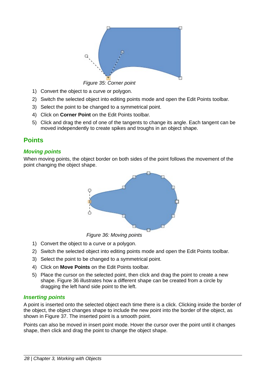<span id="page-27-3"></span>

*Figure 35: Corner point*

- 1) Convert the object to a curve or polygon.
- 2) Switch the selected object into editing points mode and open the Edit Points toolbar.
- 3) Select the point to be changed to a symmetrical point.
- 4) Click on **Corner Point** on the Edit Points toolbar.
- 5) Click and drag the end of one of the tangents to change its angle. Each tangent can be moved independently to create spikes and troughs in an object shape.

# <span id="page-27-2"></span>**Points**

#### <span id="page-27-1"></span>*Moving points*

When moving points, the object border on both sides of the point follows the movement of the point changing the object shape.



<span id="page-27-4"></span>*Figure 36: Moving points*

- 1) Convert the object to a curve or a polygon.
- 2) Switch the selected object into editing points mode and open the Edit Points toolbar.
- 3) Select the point to be changed to a symmetrical point.
- 4) Click on **Move Points** on the Edit Points toolbar.
- 5) Place the cursor on the selected point, then click and drag the point to create a new shape. Figure [36](#page-27-4) illustrates how a different shape can be created from a circle by dragging the left hand side point to the left.

#### <span id="page-27-0"></span>*Inserting points*

A point is inserted onto the selected object each time there is a click. Clicking inside the border of the object, the object changes shape to include the new point into the border of the object, as shown in Figure [37](#page-28-1). The inserted point is a smooth point.

Points can also be moved in insert point mode. Hover the cursor over the point until it changes shape, then click and drag the point to change the object shape.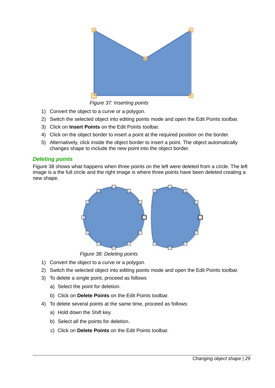

*Figure 37: Inserting points*

- <span id="page-28-1"></span>1) Convert the object to a curve or a polygon.
- 2) Switch the selected object into editing points mode and open the Edit Points toolbar.
- 3) Click on **Insert Points** on the Edit Points toolbar.
- 4) Click on the object border to insert a point at the required position on the border.
- 5) Alternatively, click inside the object border to insert a point. The object automatically changes shape to include the new point into the object border.

#### <span id="page-28-0"></span>*Deleting points*

Figure [38](#page-28-2) shows what happens when three points on the left were deleted from a circle. The left image is a the full circle and the right image is where three points have been deleted creating a new shape.



<span id="page-28-2"></span>*Figure 38: Deleting points*

- 1) Convert the object to a curve or a polygon.
- 2) Switch the selected object into editing points mode and open the Edit Points toolbar.
- 3) To delete a single point, proceed as follows
	- a) Select the point for deletion.
	- b) Click on **Delete Points** on the Edit Points toolbar.
- 4) To delete several points at the same time, proceed as follows:
	- a) Hold down the *Shift* key.
	- b) Select all the points for deletion.
	- c) Click on **Delete Points** on the Edit Points toolbar.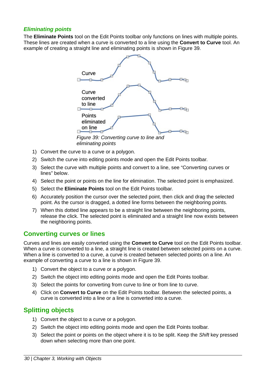#### <span id="page-29-2"></span>*Eliminating points*

The **Eliminate Points** tool on the Edit Points toolbar only functions on lines with multiple points. These lines are created when a curve is converted to a line using the **Convert to Curve** tool. An example of creating a straight line and eliminating points is shown in Figure [39](#page-29-3).



<span id="page-29-3"></span>*eliminating points*

- 1) Convert the curve to a curve or a polygon.
- 2) Switch the curve into editing points mode and open the Edit Points toolbar.
- 3) Select the curve with multiple points and convert to a line, see ["Converting curves or](#page-29-1)  [lines" below](#page-29-1).
- 4) Select the point or points on the line for elimination. The selected point is emphasized.
- 5) Select the **Eliminate Points** tool on the Edit Points toolbar.
- 6) Accurately position the cursor over the selected point, then click and drag the selected point. As the cursor is dragged, a dotted line forms between the neighboring points.
- 7) When this dotted line appears to be a straight line between the neighboring points, release the click. The selected point is eliminated and a straight line now exists between the neighboring points.

# <span id="page-29-1"></span>**Converting curves or lines**

Curves and lines are easily converted using the **Convert to Curve** tool on the Edit Points toolbar. When a curve is converted to a line, a straight line is created between selected points on a curve. When a line is converted to a curve, a curve is created between selected points on a line. An example of converting a curve to a line is shown in Figure [39](#page-29-3).

- 1) Convert the object to a curve or a polygon.
- 2) Switch the object into editing points mode and open the Edit Points toolbar.
- 3) Select the points for converting from curve to line or from line to curve.
- 4) Click on **Convert to Curve** on the Edit Points toolbar. Between the selected points, a curve is converted into a line or a line is converted into a curve.

# <span id="page-29-0"></span>**Splitting objects**

- 1) Convert the object to a curve or a polygon.
- 2) Switch the object into editing points mode and open the Edit Points toolbar.
- 3) Select the point or points on the object where it is to be split. Keep the *Shift* key pressed down when selecting more than one point.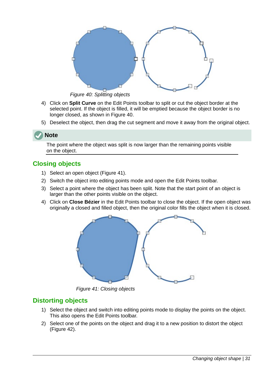

<span id="page-30-3"></span>*Figure 40: Splitting objects*

- 4) Click on **Split Curve** on the Edit Points toolbar to split or cut the object border at the selected point. If the object is filled, it will be emptied because the object border is no longer closed, as shown in Figure [40](#page-30-3).
- 5) Deselect the object, then drag the cut segment and move it away from the original object.

# **Note**

The point where the object was split is now larger than the remaining points visible on the object.

# <span id="page-30-0"></span>**Closing objects**

- 1) Select an open object (Figure [41\)](#page-30-2).
- 2) Switch the object into editing points mode and open the Edit Points toolbar.
- 3) Select a point where the object has been split. Note that the start point of an object is larger than the other points visible on the object.
- 4) Click on **Close Bézier** in the Edit Points toolbar to close the object. If the open object was originally a closed and filled object, then the original color fills the object when it is closed.



*Figure 41: Closing objects*

# <span id="page-30-1"></span>**Distorting objects**

- <span id="page-30-2"></span>1) Select the object and switch into editing points mode to display the points on the object. This also opens the Edit Points toolbar.
- 2) Select one of the points on the object and drag it to a new position to distort the object (Figure [42](#page-31-0)).